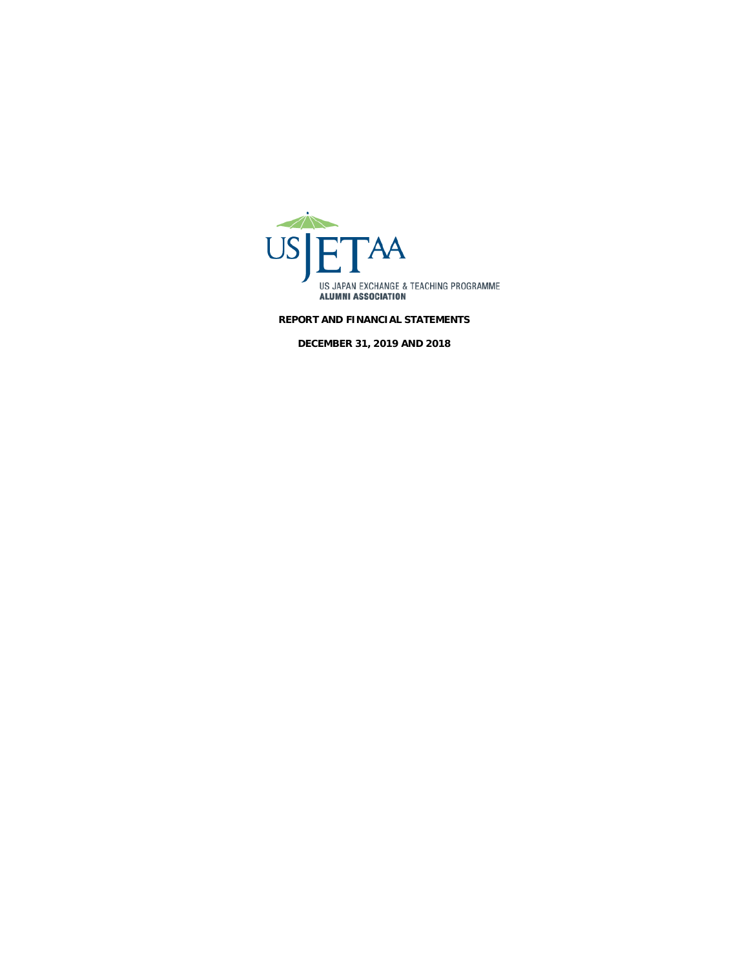

**REPORT AND FINANCIAL STATEMENTS**

**DECEMBER 31, 2019 AND 2018**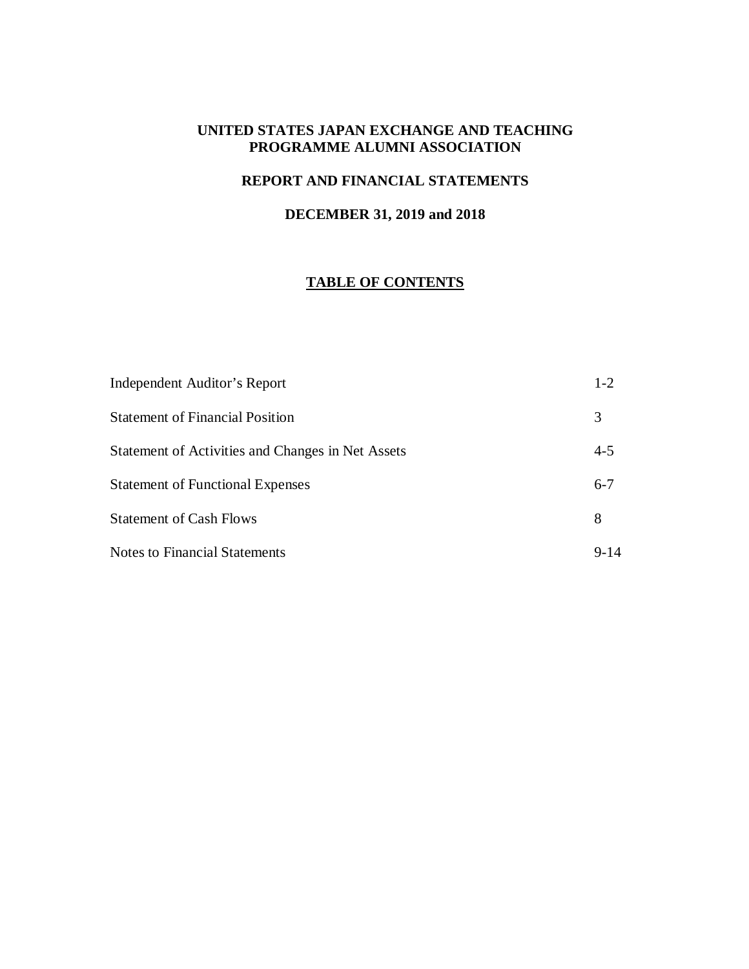#### **UNITED STATES JAPAN EXCHANGE AND TEACHING PROGRAMME ALUMNI ASSOCIATION**

### **REPORT AND FINANCIAL STATEMENTS**

#### **DECEMBER 31, 2019 and 2018**

#### **TABLE OF CONTENTS**

| Independent Auditor's Report                      | $1 - 2$  |
|---------------------------------------------------|----------|
| <b>Statement of Financial Position</b>            | 3        |
| Statement of Activities and Changes in Net Assets | $4 - 5$  |
| <b>Statement of Functional Expenses</b>           | $6-7$    |
| <b>Statement of Cash Flows</b>                    | 8        |
| <b>Notes to Financial Statements</b>              | $9 - 14$ |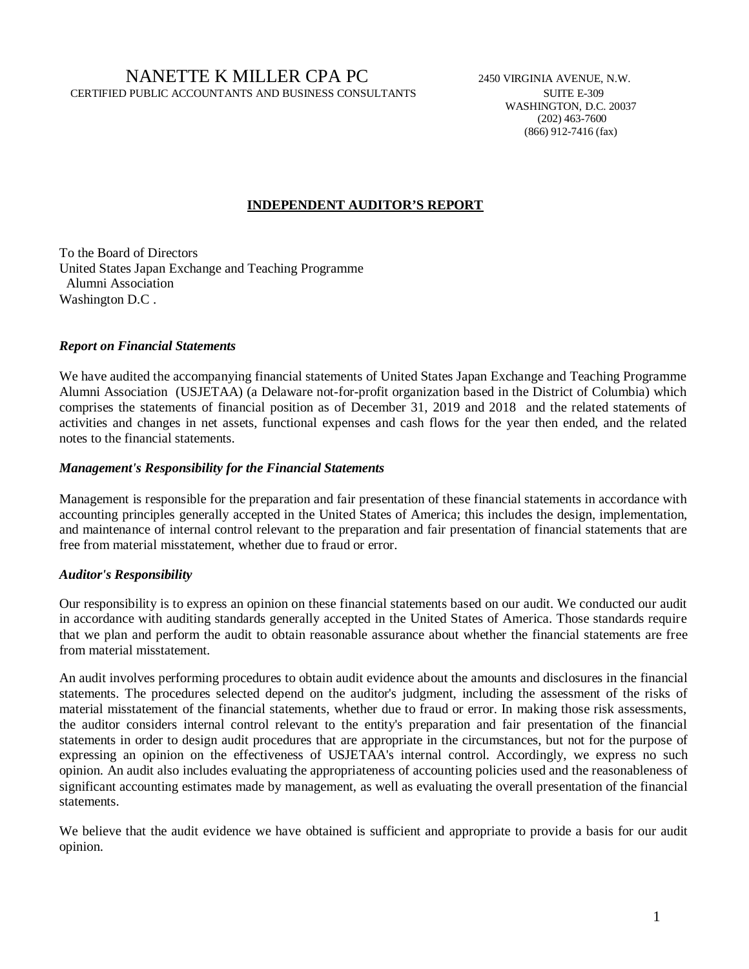# NANETTE K MILLER CPA PC 2450 VIRGINIA AVENUE, N.W.

CERTIFIED PUBLIC ACCOUNTANTS AND BUSINESS CONSULTANTS SUITE E-309

 WASHINGTON, D.C. 20037 (202) 463-7600 (866) 912-7416 (fax)

#### **INDEPENDENT AUDITOR'S REPORT**

To the Board of Directors United States Japan Exchange and Teaching Programme Alumni Association Washington D.C .

#### *Report on Financial Statements*

We have audited the accompanying financial statements of United States Japan Exchange and Teaching Programme Alumni Association (USJETAA) (a Delaware not-for-profit organization based in the District of Columbia) which comprises the statements of financial position as of December 31, 2019 and 2018 and the related statements of activities and changes in net assets, functional expenses and cash flows for the year then ended, and the related notes to the financial statements.

#### *Management's Responsibility for the Financial Statements*

Management is responsible for the preparation and fair presentation of these financial statements in accordance with accounting principles generally accepted in the United States of America; this includes the design, implementation, and maintenance of internal control relevant to the preparation and fair presentation of financial statements that are free from material misstatement, whether due to fraud or error.

#### *Auditor's Responsibility*

Our responsibility is to express an opinion on these financial statements based on our audit. We conducted our audit in accordance with auditing standards generally accepted in the United States of America. Those standards require that we plan and perform the audit to obtain reasonable assurance about whether the financial statements are free from material misstatement.

An audit involves performing procedures to obtain audit evidence about the amounts and disclosures in the financial statements. The procedures selected depend on the auditor's judgment, including the assessment of the risks of material misstatement of the financial statements, whether due to fraud or error. In making those risk assessments, the auditor considers internal control relevant to the entity's preparation and fair presentation of the financial statements in order to design audit procedures that are appropriate in the circumstances, but not for the purpose of expressing an opinion on the effectiveness of USJETAA's internal control. Accordingly, we express no such opinion. An audit also includes evaluating the appropriateness of accounting policies used and the reasonableness of significant accounting estimates made by management, as well as evaluating the overall presentation of the financial statements.

We believe that the audit evidence we have obtained is sufficient and appropriate to provide a basis for our audit opinion.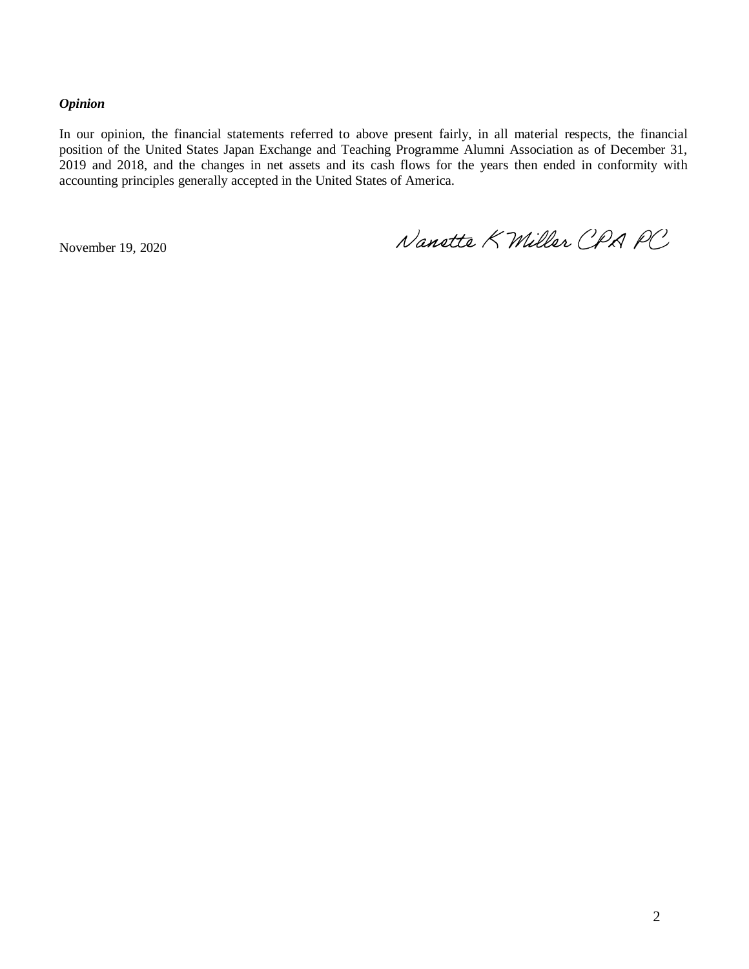#### *Opinion*

In our opinion, the financial statements referred to above present fairly, in all material respects, the financial position of the United States Japan Exchange and Teaching Programme Alumni Association as of December 31, 2019 and 2018, and the changes in net assets and its cash flows for the years then ended in conformity with accounting principles generally accepted in the United States of America.

November 19, 2020

Nanette K Miller CPA PC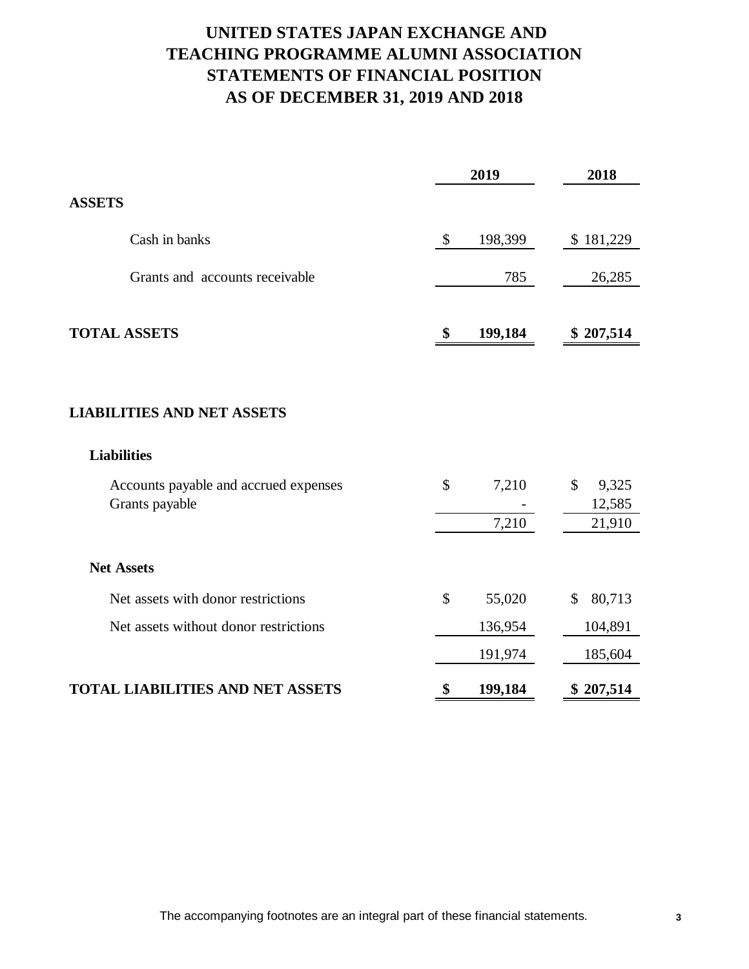# **UNITED STATES JAPAN EXCHANGE AND TEACHING PROGRAMME ALUMNI ASSOCIATION STATEMENTS OF FINANCIAL POSITION AS OF DECEMBER 31, 2019 AND 2018**

|                                                         | 2019          | 2018                  |
|---------------------------------------------------------|---------------|-----------------------|
| <b>ASSETS</b>                                           |               |                       |
| Cash in banks                                           | 198,399<br>\$ | \$181,229             |
| Grants and accounts receivable                          | 785           | 26,285                |
| <b>TOTAL ASSETS</b>                                     | 199,184<br>\$ | \$207,514             |
| <b>LIABILITIES AND NET ASSETS</b>                       |               |                       |
| <b>Liabilities</b>                                      |               |                       |
| Accounts payable and accrued expenses<br>Grants payable | \$<br>7,210   | \$<br>9,325<br>12,585 |
|                                                         | 7,210         | 21,910                |
| <b>Net Assets</b>                                       |               |                       |
| Net assets with donor restrictions                      | \$<br>55,020  | 80,713<br>\$          |
| Net assets without donor restrictions                   | 136,954       | 104,891               |
|                                                         | 191,974       | 185,604               |
| <b>TOTAL LIABILITIES AND NET ASSETS</b>                 | 199,184<br>\$ | \$207,514             |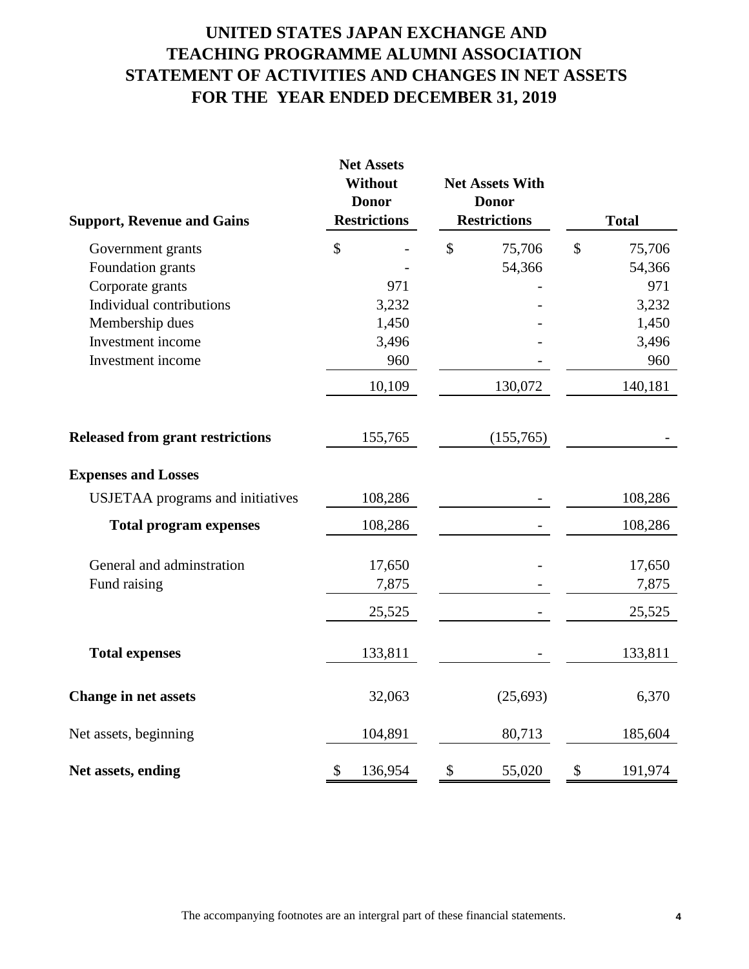# **UNITED STATES JAPAN EXCHANGE AND TEACHING PROGRAMME ALUMNI ASSOCIATION STATEMENT OF ACTIVITIES AND CHANGES IN NET ASSETS FOR THE YEAR ENDED DECEMBER 31, 2019**

| <b>Support, Revenue and Gains</b>       |    | <b>Net Assets</b><br>Without<br><b>Donor</b><br><b>Restrictions</b> | <b>Net Assets With</b><br><b>Donor</b><br><b>Restrictions</b> |           | <b>Total</b>  |         |  |
|-----------------------------------------|----|---------------------------------------------------------------------|---------------------------------------------------------------|-----------|---------------|---------|--|
| Government grants                       | \$ |                                                                     | \$                                                            | 75,706    | $\mathcal{S}$ | 75,706  |  |
| Foundation grants                       |    |                                                                     |                                                               | 54,366    |               | 54,366  |  |
| Corporate grants                        |    | 971                                                                 |                                                               |           |               | 971     |  |
| Individual contributions                |    | 3,232                                                               |                                                               |           |               | 3,232   |  |
| Membership dues                         |    | 1,450                                                               |                                                               |           |               | 1,450   |  |
| Investment income                       |    | 3,496                                                               |                                                               |           |               | 3,496   |  |
| Investment income                       |    | 960                                                                 |                                                               |           |               | 960     |  |
|                                         |    | 10,109                                                              |                                                               | 130,072   |               | 140,181 |  |
| <b>Released from grant restrictions</b> |    | 155,765                                                             |                                                               | (155,765) |               |         |  |
| <b>Expenses and Losses</b>              |    |                                                                     |                                                               |           |               |         |  |
| <b>USJETAA</b> programs and initiatives |    | 108,286                                                             |                                                               |           |               | 108,286 |  |
| <b>Total program expenses</b>           |    | 108,286                                                             |                                                               |           |               | 108,286 |  |
| General and adminstration               |    | 17,650                                                              |                                                               |           |               | 17,650  |  |
| Fund raising                            |    | 7,875                                                               |                                                               |           |               | 7,875   |  |
|                                         |    | 25,525                                                              |                                                               |           |               | 25,525  |  |
| <b>Total expenses</b>                   |    | 133,811                                                             |                                                               |           |               | 133,811 |  |
| <b>Change in net assets</b>             |    | 32,063                                                              |                                                               | (25, 693) |               | 6,370   |  |
| Net assets, beginning                   |    | 104,891                                                             |                                                               | 80,713    |               | 185,604 |  |
| Net assets, ending                      | \$ | 136,954                                                             | \$                                                            | 55,020    | \$            | 191,974 |  |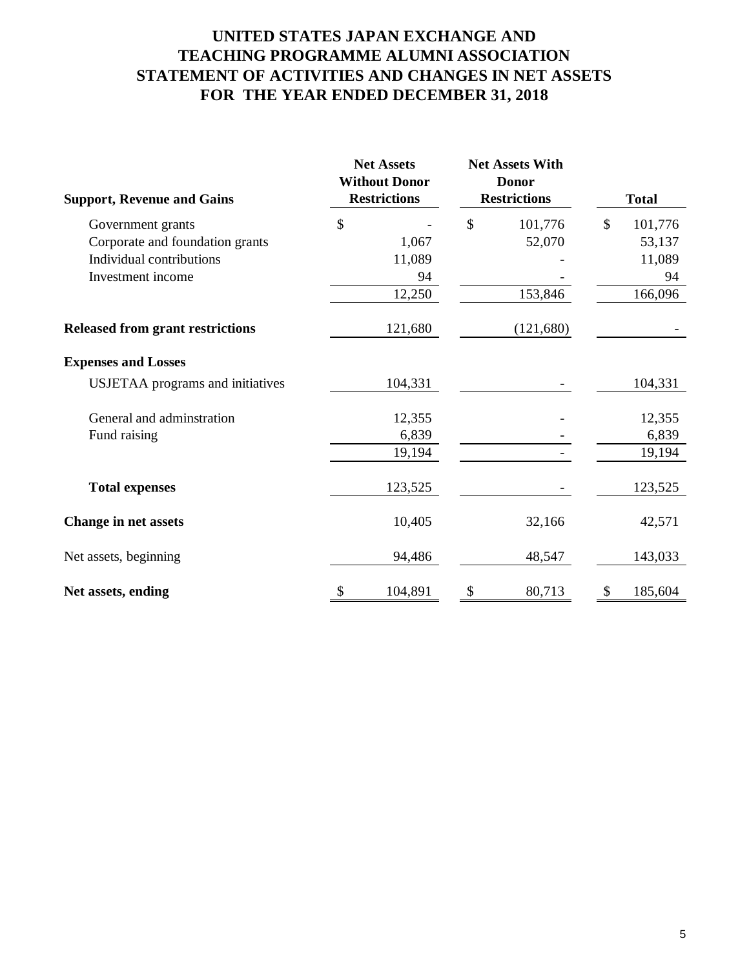# **UNITED STATES JAPAN EXCHANGE AND TEACHING PROGRAMME ALUMNI ASSOCIATION STATEMENT OF ACTIVITIES AND CHANGES IN NET ASSETS FOR THE YEAR ENDED DECEMBER 31, 2018**

| <b>Support, Revenue and Gains</b>       |    | <b>Net Assets</b><br><b>Without Donor</b><br><b>Restrictions</b> |                           | <b>Net Assets With</b><br><b>Donor</b><br><b>Restrictions</b> | <b>Total</b>  |
|-----------------------------------------|----|------------------------------------------------------------------|---------------------------|---------------------------------------------------------------|---------------|
| Government grants                       | \$ |                                                                  | $\boldsymbol{\mathsf{S}}$ | 101,776                                                       | \$<br>101,776 |
| Corporate and foundation grants         |    | 1,067                                                            |                           | 52,070                                                        | 53,137        |
| Individual contributions                |    | 11,089                                                           |                           |                                                               | 11,089        |
| Investment income                       |    | 94                                                               |                           |                                                               | 94            |
|                                         |    | 12,250                                                           |                           | 153,846                                                       | 166,096       |
| <b>Released from grant restrictions</b> |    | 121,680                                                          |                           | (121, 680)                                                    |               |
| <b>Expenses and Losses</b>              |    |                                                                  |                           |                                                               |               |
| USJETAA programs and initiatives        |    | 104,331                                                          |                           |                                                               | 104,331       |
| General and adminstration               |    | 12,355                                                           |                           |                                                               | 12,355        |
| Fund raising                            |    | 6,839                                                            |                           |                                                               | 6,839         |
|                                         |    | 19,194                                                           |                           |                                                               | 19,194        |
| <b>Total expenses</b>                   |    | 123,525                                                          |                           |                                                               | 123,525       |
| <b>Change in net assets</b>             |    | 10,405                                                           |                           | 32,166                                                        | 42,571        |
| Net assets, beginning                   |    | 94,486                                                           |                           | 48,547                                                        | 143,033       |
| Net assets, ending                      | \$ | 104,891                                                          | \$                        | 80,713                                                        | \$<br>185,604 |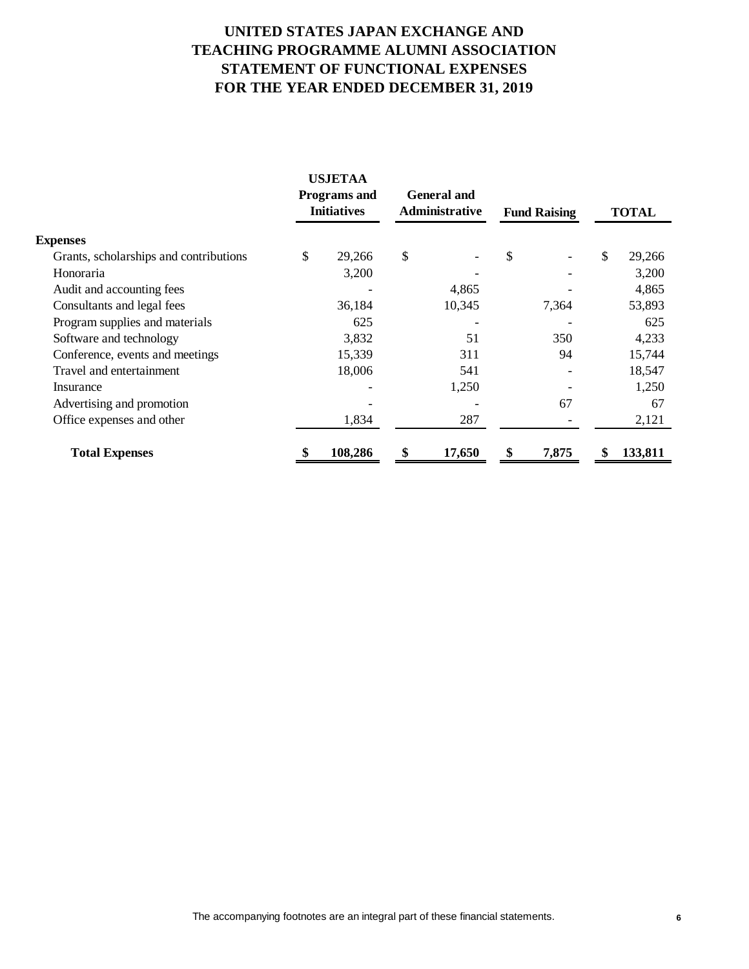# **UNITED STATES JAPAN EXCHANGE AND TEACHING PROGRAMME ALUMNI ASSOCIATION STATEMENT OF FUNCTIONAL EXPENSES FOR THE YEAR ENDED DECEMBER 31, 2019**

|                                        | <b>USJETAA</b><br><b>Programs and</b><br><b>Initiatives</b> | <b>General and</b><br>Administrative | <b>Fund Raising</b> | <b>TOTAL</b>  |
|----------------------------------------|-------------------------------------------------------------|--------------------------------------|---------------------|---------------|
| <b>Expenses</b>                        |                                                             |                                      |                     |               |
| Grants, scholarships and contributions | \$<br>29,266                                                | \$                                   | \$                  | \$<br>29,266  |
| Honoraria                              | 3,200                                                       |                                      |                     | 3,200         |
| Audit and accounting fees              |                                                             | 4,865                                |                     | 4,865         |
| Consultants and legal fees             | 36,184                                                      | 10,345                               | 7,364               | 53,893        |
| Program supplies and materials         | 625                                                         |                                      |                     | 625           |
| Software and technology                | 3,832                                                       | 51                                   | 350                 | 4,233         |
| Conference, events and meetings        | 15,339                                                      | 311                                  | 94                  | 15,744        |
| Travel and entertainment               | 18,006                                                      | 541                                  |                     | 18,547        |
| Insurance                              |                                                             | 1,250                                |                     | 1,250         |
| Advertising and promotion              |                                                             |                                      | 67                  | 67            |
| Office expenses and other              | 1,834                                                       | 287                                  |                     | 2,121         |
| <b>Total Expenses</b>                  | 108,286                                                     | \$<br>17,650                         | \$<br>7,875         | \$<br>133,811 |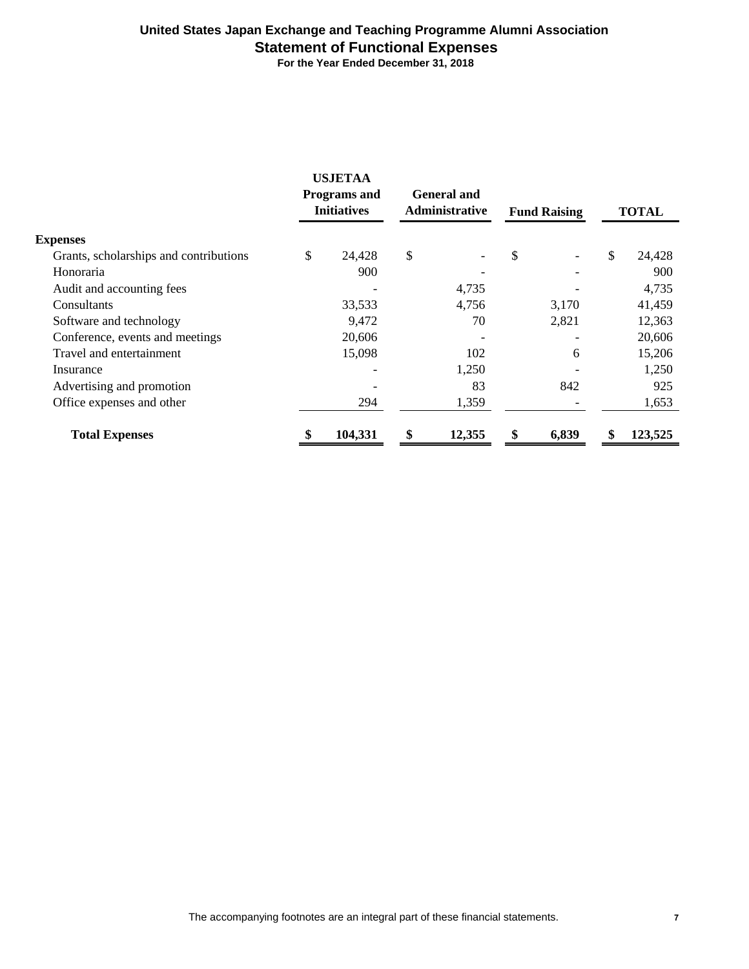# **United States Japan Exchange and Teaching Programme Alumni Association Statement of Functional Expenses**

 **For the Year Ended December 31, 2018**

|                                        | <b>USJETAA</b><br><b>Programs</b> and<br><b>Initiatives</b> | <b>General and</b><br>Administrative | <b>Fund Raising</b> | <b>TOTAL</b>  |
|----------------------------------------|-------------------------------------------------------------|--------------------------------------|---------------------|---------------|
| <b>Expenses</b>                        |                                                             |                                      |                     |               |
| Grants, scholarships and contributions | \$<br>24,428                                                | \$                                   | \$                  | \$<br>24,428  |
| Honoraria                              | 900                                                         |                                      |                     | 900           |
| Audit and accounting fees              |                                                             | 4,735                                |                     | 4,735         |
| Consultants                            | 33,533                                                      | 4,756                                | 3,170               | 41,459        |
| Software and technology                | 9,472                                                       | 70                                   | 2,821               | 12,363        |
| Conference, events and meetings        | 20,606                                                      |                                      |                     | 20,606        |
| Travel and entertainment               | 15,098                                                      | 102                                  | 6                   | 15,206        |
| Insurance                              |                                                             | 1,250                                |                     | 1,250         |
| Advertising and promotion              |                                                             | 83                                   | 842                 | 925           |
| Office expenses and other              | 294                                                         | 1,359                                |                     | 1,653         |
| <b>Total Expenses</b>                  | 104,331                                                     | \$<br>12,355                         | \$<br>6,839         | \$<br>123,525 |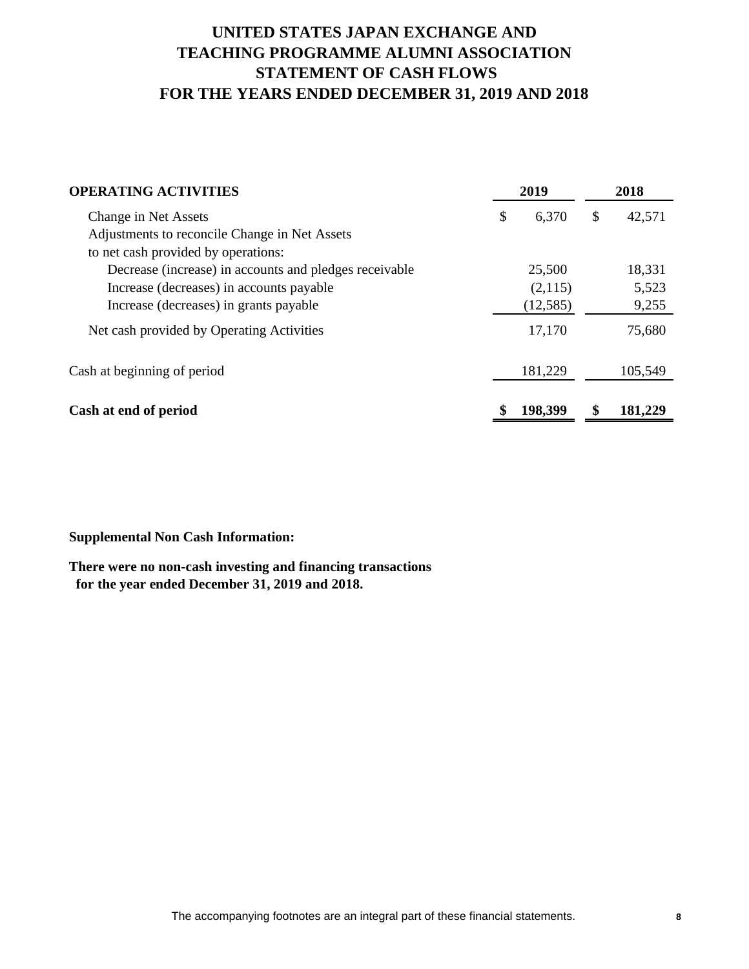# **UNITED STATES JAPAN EXCHANGE AND TEACHING PROGRAMME ALUMNI ASSOCIATION STATEMENT OF CASH FLOWS FOR THE YEARS ENDED DECEMBER 31, 2019 AND 2018**

| <b>OPERATING ACTIVITIES</b>                            | 2019        |    | 2018    |
|--------------------------------------------------------|-------------|----|---------|
| Change in Net Assets                                   | \$<br>6,370 | \$ | 42,571  |
| Adjustments to reconcile Change in Net Assets          |             |    |         |
| to net cash provided by operations:                    |             |    |         |
| Decrease (increase) in accounts and pledges receivable | 25,500      |    | 18,331  |
| Increase (decreases) in accounts payable               | (2,115)     |    | 5,523   |
| Increase (decreases) in grants payable                 | (12, 585)   |    | 9,255   |
| Net cash provided by Operating Activities              | 17,170      |    | 75,680  |
| Cash at beginning of period                            | 181,229     |    | 105,549 |
| Cash at end of period                                  | 198,399     | \$ | 181,229 |

**Supplemental Non Cash Information:**

**There were no non-cash investing and financing transactions for the year ended December 31, 2019 and 2018.**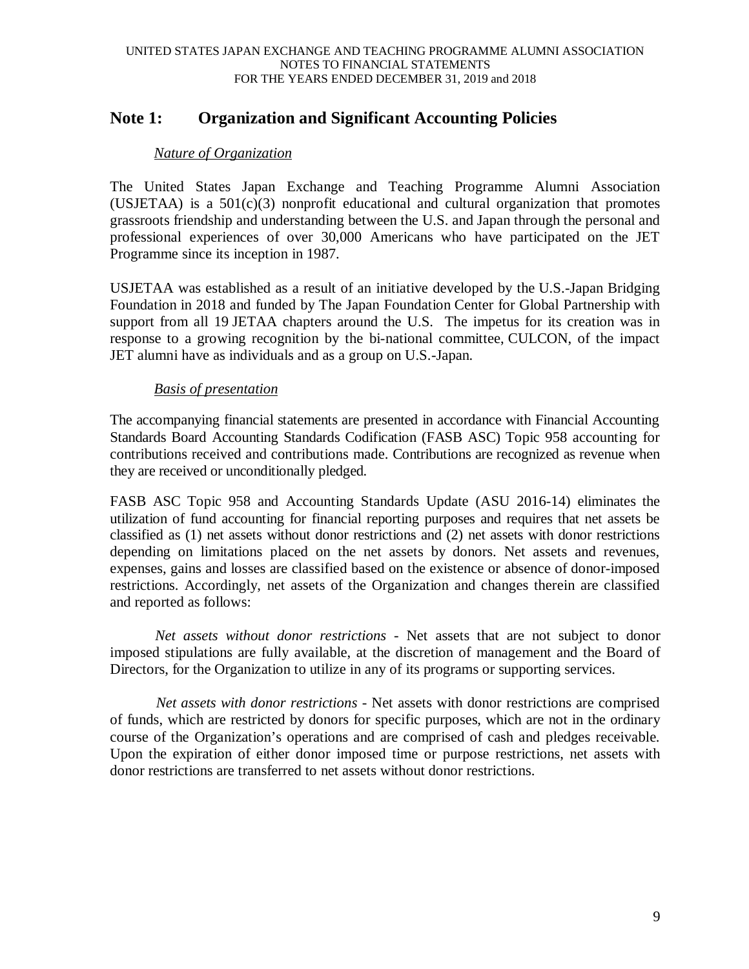### **Note 1: Organization and Significant Accounting Policies**

#### *Nature of Organization*

The United States Japan Exchange and Teaching Programme Alumni Association (USJETAA) is a  $501(c)(3)$  nonprofit educational and cultural organization that promotes grassroots friendship and understanding between the U.S. and Japan through the personal and professional experiences of over 30,000 Americans who have participated on the JET Programme since its inception in 1987.

USJETAA was established as a result of an initiative developed by the U.S.-Japan Bridging Foundation in 2018 and funded by The Japan Foundation Center for Global Partnership with support from all 19 JETAA chapters around the U.S. The impetus for its creation was in response to a growing recognition by the bi-national committee, CULCON, of the impact JET alumni have as individuals and as a group on U.S.-Japan.

#### *Basis of presentation*

The accompanying financial statements are presented in accordance with Financial Accounting Standards Board Accounting Standards Codification (FASB ASC) Topic 958 accounting for contributions received and contributions made. Contributions are recognized as revenue when they are received or unconditionally pledged.

FASB ASC Topic 958 and Accounting Standards Update (ASU 2016-14) eliminates the utilization of fund accounting for financial reporting purposes and requires that net assets be classified as (1) net assets without donor restrictions and (2) net assets with donor restrictions depending on limitations placed on the net assets by donors. Net assets and revenues, expenses, gains and losses are classified based on the existence or absence of donor-imposed restrictions. Accordingly, net assets of the Organization and changes therein are classified and reported as follows:

*Net assets without donor restrictions* - Net assets that are not subject to donor imposed stipulations are fully available, at the discretion of management and the Board of Directors, for the Organization to utilize in any of its programs or supporting services.

*Net assets with donor restrictions* - Net assets with donor restrictions are comprised of funds, which are restricted by donors for specific purposes, which are not in the ordinary course of the Organization's operations and are comprised of cash and pledges receivable. Upon the expiration of either donor imposed time or purpose restrictions, net assets with donor restrictions are transferred to net assets without donor restrictions.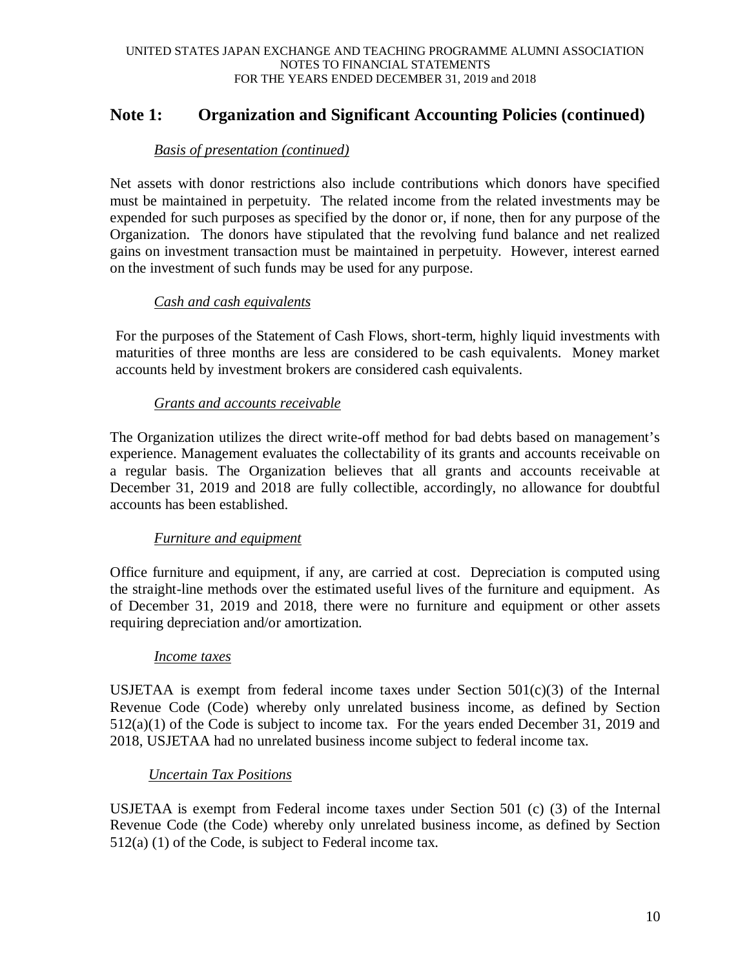# **Note 1: Organization and Significant Accounting Policies (continued)**

#### *Basis of presentation (continued)*

Net assets with donor restrictions also include contributions which donors have specified must be maintained in perpetuity. The related income from the related investments may be expended for such purposes as specified by the donor or, if none, then for any purpose of the Organization. The donors have stipulated that the revolving fund balance and net realized gains on investment transaction must be maintained in perpetuity. However, interest earned on the investment of such funds may be used for any purpose.

### *Cash and cash equivalents*

For the purposes of the Statement of Cash Flows, short-term, highly liquid investments with maturities of three months are less are considered to be cash equivalents. Money market accounts held by investment brokers are considered cash equivalents.

#### *Grants and accounts receivable*

The Organization utilizes the direct write-off method for bad debts based on management's experience. Management evaluates the collectability of its grants and accounts receivable on a regular basis. The Organization believes that all grants and accounts receivable at December 31, 2019 and 2018 are fully collectible, accordingly, no allowance for doubtful accounts has been established.

#### *Furniture and equipment*

Office furniture and equipment, if any, are carried at cost. Depreciation is computed using the straight-line methods over the estimated useful lives of the furniture and equipment. As of December 31, 2019 and 2018, there were no furniture and equipment or other assets requiring depreciation and/or amortization.

#### *Income taxes*

USJETAA is exempt from federal income taxes under Section  $501(c)(3)$  of the Internal Revenue Code (Code) whereby only unrelated business income, as defined by Section 512(a)(1) of the Code is subject to income tax. For the years ended December 31, 2019 and 2018, USJETAA had no unrelated business income subject to federal income tax.

#### *Uncertain Tax Positions*

USJETAA is exempt from Federal income taxes under Section 501 (c) (3) of the Internal Revenue Code (the Code) whereby only unrelated business income, as defined by Section 512(a) (1) of the Code, is subject to Federal income tax.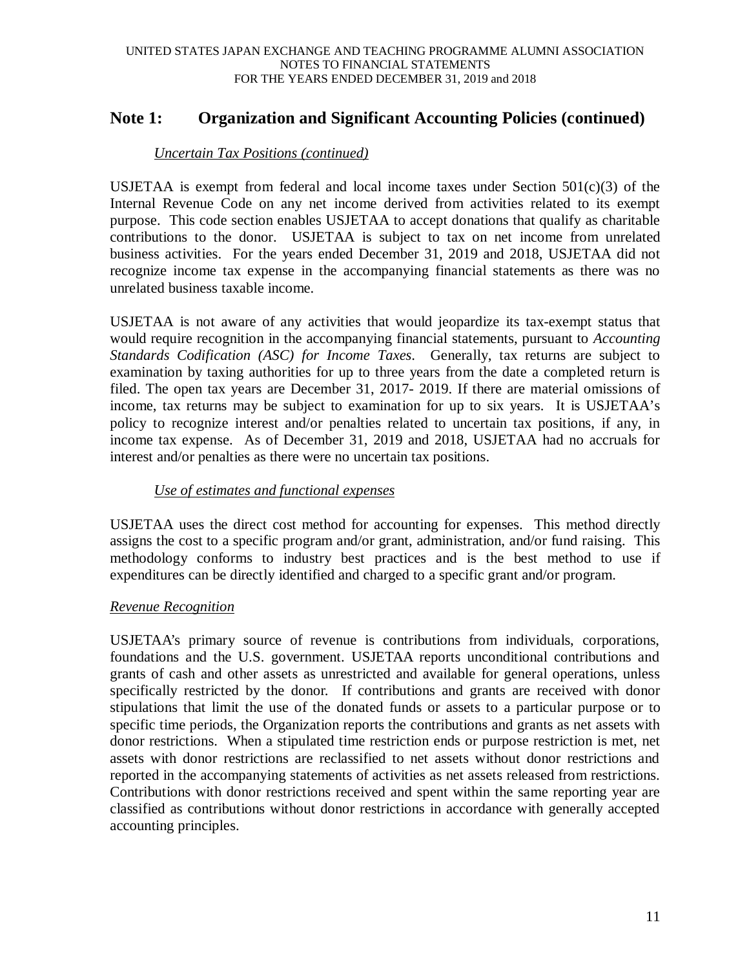## **Note 1: Organization and Significant Accounting Policies (continued)**

#### *Uncertain Tax Positions (continued)*

USJETAA is exempt from federal and local income taxes under Section  $501(c)(3)$  of the Internal Revenue Code on any net income derived from activities related to its exempt purpose. This code section enables USJETAA to accept donations that qualify as charitable contributions to the donor. USJETAA is subject to tax on net income from unrelated business activities. For the years ended December 31, 2019 and 2018, USJETAA did not recognize income tax expense in the accompanying financial statements as there was no unrelated business taxable income.

USJETAA is not aware of any activities that would jeopardize its tax-exempt status that would require recognition in the accompanying financial statements, pursuant to *Accounting Standards Codification (ASC) for Income Taxes*. Generally, tax returns are subject to examination by taxing authorities for up to three years from the date a completed return is filed. The open tax years are December 31, 2017- 2019. If there are material omissions of income, tax returns may be subject to examination for up to six years. It is USJETAA's policy to recognize interest and/or penalties related to uncertain tax positions, if any, in income tax expense. As of December 31, 2019 and 2018, USJETAA had no accruals for interest and/or penalties as there were no uncertain tax positions.

#### *Use of estimates and functional expenses*

USJETAA uses the direct cost method for accounting for expenses. This method directly assigns the cost to a specific program and/or grant, administration, and/or fund raising. This methodology conforms to industry best practices and is the best method to use if expenditures can be directly identified and charged to a specific grant and/or program.

#### *Revenue Recognition*

USJETAA's primary source of revenue is contributions from individuals, corporations, foundations and the U.S. government. USJETAA reports unconditional contributions and grants of cash and other assets as unrestricted and available for general operations, unless specifically restricted by the donor. If contributions and grants are received with donor stipulations that limit the use of the donated funds or assets to a particular purpose or to specific time periods, the Organization reports the contributions and grants as net assets with donor restrictions. When a stipulated time restriction ends or purpose restriction is met, net assets with donor restrictions are reclassified to net assets without donor restrictions and reported in the accompanying statements of activities as net assets released from restrictions. Contributions with donor restrictions received and spent within the same reporting year are classified as contributions without donor restrictions in accordance with generally accepted accounting principles.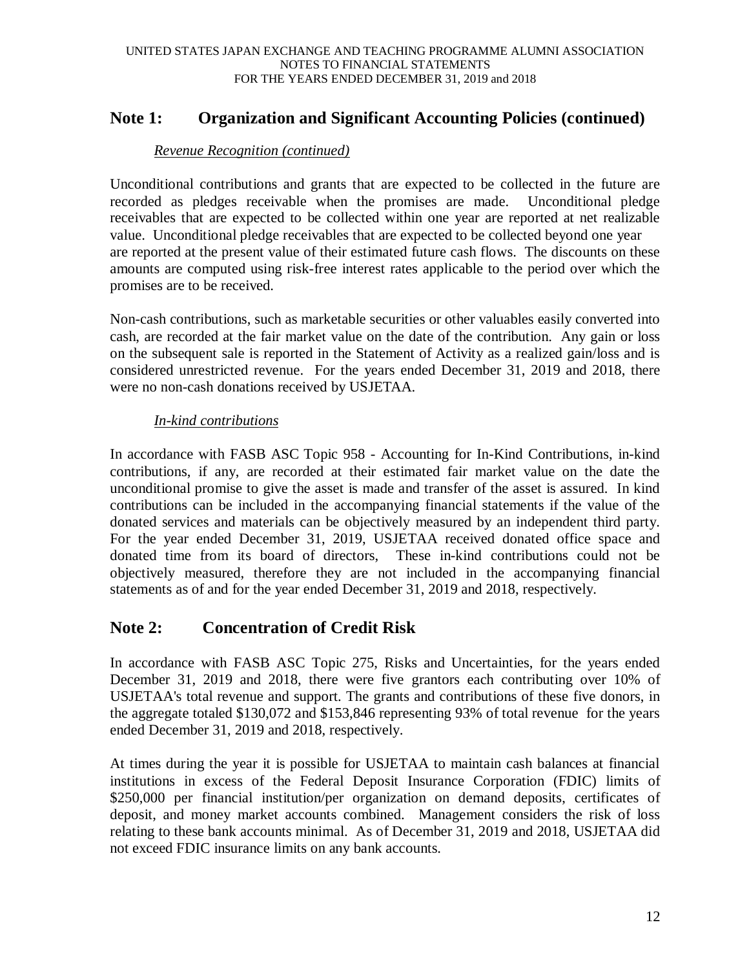## **Note 1: Organization and Significant Accounting Policies (continued)**

#### *Revenue Recognition (continued)*

Unconditional contributions and grants that are expected to be collected in the future are recorded as pledges receivable when the promises are made. Unconditional pledge receivables that are expected to be collected within one year are reported at net realizable value. Unconditional pledge receivables that are expected to be collected beyond one year are reported at the present value of their estimated future cash flows. The discounts on these amounts are computed using risk-free interest rates applicable to the period over which the promises are to be received.

Non-cash contributions, such as marketable securities or other valuables easily converted into cash, are recorded at the fair market value on the date of the contribution. Any gain or loss on the subsequent sale is reported in the Statement of Activity as a realized gain/loss and is considered unrestricted revenue. For the years ended December 31, 2019 and 2018, there were no non-cash donations received by USJETAA.

### *In-kind contributions*

In accordance with FASB ASC Topic 958 - Accounting for In-Kind Contributions, in-kind contributions, if any, are recorded at their estimated fair market value on the date the unconditional promise to give the asset is made and transfer of the asset is assured. In kind contributions can be included in the accompanying financial statements if the value of the donated services and materials can be objectively measured by an independent third party. For the year ended December 31, 2019, USJETAA received donated office space and donated time from its board of directors, These in-kind contributions could not be objectively measured, therefore they are not included in the accompanying financial statements as of and for the year ended December 31, 2019 and 2018, respectively.

# **Note 2: Concentration of Credit Risk**

In accordance with FASB ASC Topic 275, Risks and Uncertainties, for the years ended December 31, 2019 and 2018, there were five grantors each contributing over 10% of USJETAA's total revenue and support. The grants and contributions of these five donors, in the aggregate totaled \$130,072 and \$153,846 representing 93% of total revenue for the years ended December 31, 2019 and 2018, respectively.

At times during the year it is possible for USJETAA to maintain cash balances at financial institutions in excess of the Federal Deposit Insurance Corporation (FDIC) limits of \$250,000 per financial institution/per organization on demand deposits, certificates of deposit, and money market accounts combined. Management considers the risk of loss relating to these bank accounts minimal. As of December 31, 2019 and 2018, USJETAA did not exceed FDIC insurance limits on any bank accounts.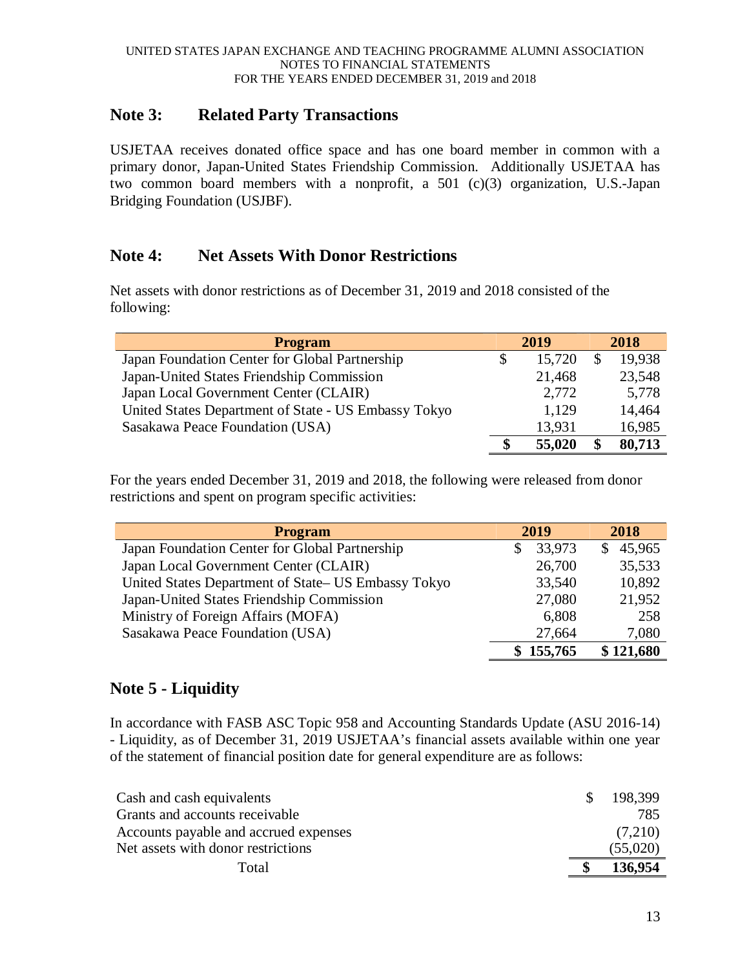## **Note 3: Related Party Transactions**

USJETAA receives donated office space and has one board member in common with a primary donor, Japan-United States Friendship Commission. Additionally USJETAA has two common board members with a nonprofit, a 501 (c)(3) organization, U.S.-Japan Bridging Foundation (USJBF).

# **Note 4: Net Assets With Donor Restrictions**

Net assets with donor restrictions as of December 31, 2019 and 2018 consisted of the following:

| <b>Program</b>                                       | 2018<br>2019 |        |  |        |
|------------------------------------------------------|--------------|--------|--|--------|
| Japan Foundation Center for Global Partnership       | S            | 15,720 |  | 19,938 |
| Japan-United States Friendship Commission            |              | 21,468 |  | 23,548 |
| Japan Local Government Center (CLAIR)                |              | 2,772  |  | 5,778  |
| United States Department of State - US Embassy Tokyo |              | 1,129  |  | 14,464 |
| Sasakawa Peace Foundation (USA)                      |              | 13,931 |  | 16,985 |
|                                                      |              | 55,020 |  | 80,713 |

For the years ended December 31, 2019 and 2018, the following were released from donor restrictions and spent on program specific activities:

| <b>Program</b>                                     | 2018<br>2019 |              |
|----------------------------------------------------|--------------|--------------|
| Japan Foundation Center for Global Partnership     | 33,973<br>S  | 45,965<br>S. |
| Japan Local Government Center (CLAIR)              | 26,700       | 35,533       |
| United States Department of State-US Embassy Tokyo | 33,540       | 10,892       |
| Japan-United States Friendship Commission          | 27,080       | 21,952       |
| Ministry of Foreign Affairs (MOFA)                 | 6,808        | 258          |
| Sasakawa Peace Foundation (USA)                    | 27,664       | 7,080        |
|                                                    | 155,765      | \$121,680    |

# **Note 5 - Liquidity**

In accordance with FASB ASC Topic 958 and Accounting Standards Update (ASU 2016-14) - Liquidity, as of December 31, 2019 USJETAA's financial assets available within one year of the statement of financial position date for general expenditure are as follows:

| Cash and cash equivalents             | -8 | 198.399  |
|---------------------------------------|----|----------|
| Grants and accounts receivable        |    | 785      |
| Accounts payable and accrued expenses |    | (7,210)  |
| Net assets with donor restrictions    |    | (55,020) |
| Total                                 |    | 136,954  |